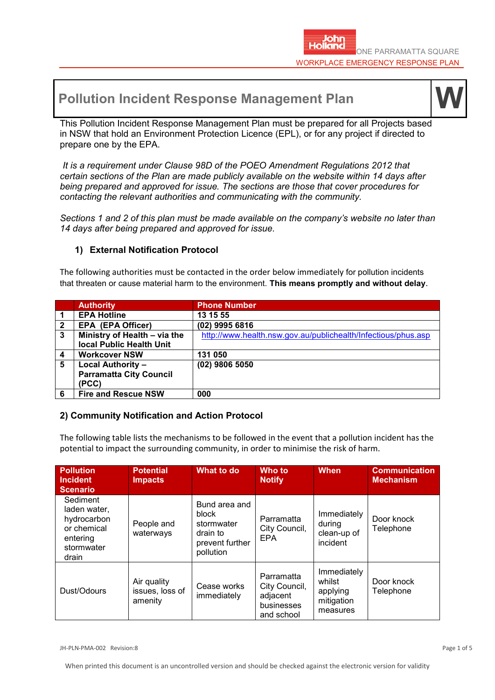# **Pollution Incident Response Management Plan**



This Pollution Incident Response Management Plan must be prepared for all Projects based in NSW that hold an Environment Protection Licence (EPL), or for any project if directed to prepare one by the EPA.

*It is a requirement under Clause 98D of the POEO Amendment Regulations 2012 that certain sections of the Plan are made publicly available on the website within 14 days after being prepared and approved for issue. The sections are those that cover procedures for contacting the relevant authorities and communicating with the community.*

*Sections 1 and 2 of this plan must be made available on the company's website no later than 14 days after being prepared and approved for issue.*

# **1) External Notification Protocol**

The following authorities must be contacted in the order below immediately for pollution incidents that threaten or cause material harm to the environment. **This means promptly and without delay**.

|              | <b>Authority</b>               | <b>Phone Number</b>                                           |
|--------------|--------------------------------|---------------------------------------------------------------|
|              | <b>EPA Hotline</b>             | 13 15 55                                                      |
| $\mathbf{2}$ | <b>EPA (EPA Officer)</b>       | (02) 9995 6816                                                |
| 3            | Ministry of Health - via the   | http://www.health.nsw.gov.au/publichealth/Infectious/phus.asp |
|              | local Public Health Unit       |                                                               |
| 4            | <b>Workcover NSW</b>           | 131 050                                                       |
| 5            | <b>Local Authority -</b>       | (02) 9806 5050                                                |
|              | <b>Parramatta City Council</b> |                                                               |
|              | (PCC)                          |                                                               |
| 6            | <b>Fire and Rescue NSW</b>     | 000                                                           |

# **2) Community Notification and Action Protocol**

The following table lists the mechanisms to be followed in the event that a pollution incident has the potential to impact the surrounding community, in order to minimise the risk of harm.

| <b>Pollution</b><br><b>Incident</b><br><b>Scenario</b>                                    | <b>Potential</b><br><b>Impacts</b>        | What to do                                                                       | Who to<br><b>Notify</b>                                             | <b>When</b>                                                 | <b>Communication</b><br><b>Mechanism</b> |
|-------------------------------------------------------------------------------------------|-------------------------------------------|----------------------------------------------------------------------------------|---------------------------------------------------------------------|-------------------------------------------------------------|------------------------------------------|
| Sediment<br>laden water,<br>hydrocarbon<br>or chemical<br>entering<br>stormwater<br>drain | People and<br>waterways                   | Bund area and<br>block<br>stormwater<br>drain to<br>prevent further<br>pollution | Parramatta<br>City Council,<br>EPA                                  | Immediately<br>during<br>clean-up of<br>incident            | Door knock<br>Telephone                  |
| Dust/Odours                                                                               | Air quality<br>issues, loss of<br>amenity | Cease works<br>immediately                                                       | Parramatta<br>City Council,<br>adjacent<br>businesses<br>and school | Immediately<br>whilst<br>applying<br>mitigation<br>measures | Door knock<br>Telephone                  |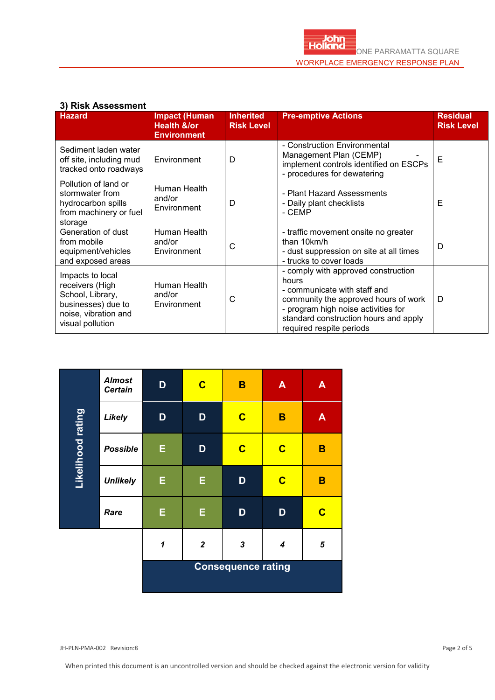## **3) Risk Assessment**

| <u>יו וייטריסטטער וועון ע</u><br><b>Hazard</b>                                                                            | <b>Impact (Human</b><br><b>Health &amp;/or</b><br><b>Environment</b> | <b>Inherited</b><br><b>Risk Level</b> | <b>Pre-emptive Actions</b>                                                                                                                                                                                                       | <b>Residual</b><br><b>Risk Level</b> |
|---------------------------------------------------------------------------------------------------------------------------|----------------------------------------------------------------------|---------------------------------------|----------------------------------------------------------------------------------------------------------------------------------------------------------------------------------------------------------------------------------|--------------------------------------|
| Sediment laden water<br>off site, including mud<br>tracked onto roadways                                                  | Environment                                                          | D                                     | - Construction Environmental<br>Management Plan (CEMP)<br>implement controls identified on ESCPs<br>- procedures for dewatering                                                                                                  | Е                                    |
| Pollution of land or<br>stormwater from<br>hydrocarbon spills<br>from machinery or fuel<br>storage                        | Human Health<br>and/or<br>Environment                                | D                                     | - Plant Hazard Assessments<br>- Daily plant checklists<br>- CEMP                                                                                                                                                                 | Е                                    |
| Generation of dust<br>from mobile<br>equipment/vehicles<br>and exposed areas                                              | Human Health<br>and/or<br>Environment                                | С                                     | - traffic movement onsite no greater<br>than 10km/h<br>- dust suppression on site at all times<br>- trucks to cover loads                                                                                                        | D                                    |
| Impacts to local<br>receivers (High<br>School, Library,<br>businesses) due to<br>noise, vibration and<br>visual pollution | Human Health<br>and/or<br>Environment                                | С                                     | - comply with approved construction<br>hours<br>- communicate with staff and<br>community the approved hours of work<br>- program high noise activities for<br>standard construction hours and apply<br>required respite periods | D                                    |

|                   | <b>Almost</b><br><b>Certain</b> | D                         | $\mathbf C$    | B                       | $\blacktriangle$        | $\mathbf{A}$ |
|-------------------|---------------------------------|---------------------------|----------------|-------------------------|-------------------------|--------------|
|                   | <b>Likely</b>                   | D                         | D              | $\overline{\mathbf{C}}$ | B                       | $\mathsf{A}$ |
| Likelihood rating | <b>Possible</b>                 | E                         | D              | $\mathbf C$             | $\overline{\mathbf{C}}$ | B            |
|                   | <b>Unlikely</b>                 | E                         | E              | D                       | $\overline{\mathbf{C}}$ | B            |
|                   | Rare                            | E                         | E              | D                       | D                       | $\mathbf C$  |
|                   |                                 | $\overline{\mathbf{1}}$   | $\overline{2}$ | $\mathbf{3}$            | $\boldsymbol{4}$        | 5            |
|                   |                                 | <b>Consequence rating</b> |                |                         |                         |              |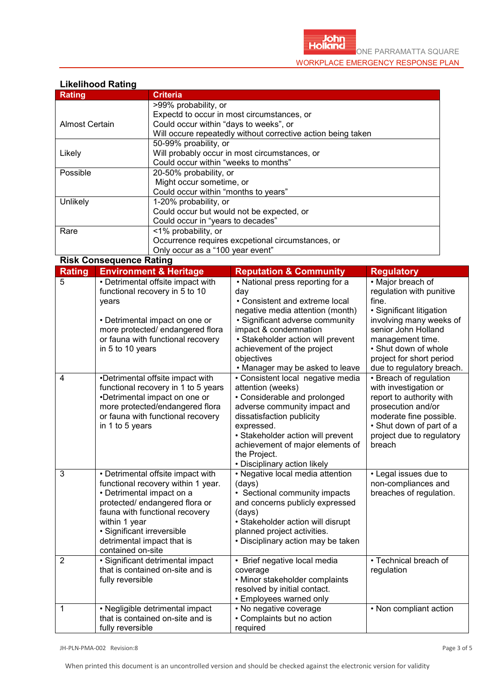#### **Likelihood Rating**

| <b>Rating</b>  | <b>Criteria</b>                                              |  |  |  |
|----------------|--------------------------------------------------------------|--|--|--|
|                | >99% probability, or                                         |  |  |  |
|                | Expectd to occur in most circumstances, or                   |  |  |  |
| Almost Certain | Could occur within "days to weeks", or                       |  |  |  |
|                | Will occure repeatedly without corrective action being taken |  |  |  |
|                | 50-99% proability, or                                        |  |  |  |
| Likely         | Will probably occur in most circumstances, or                |  |  |  |
|                | Could occur within "weeks to months"                         |  |  |  |
| Possible       | 20-50% probability, or                                       |  |  |  |
|                | Might occur sometime, or                                     |  |  |  |
|                | Could occur within "months to years"                         |  |  |  |
| Unlikely       | 1-20% probability, or                                        |  |  |  |
|                | Could occur but would not be expected, or                    |  |  |  |
|                | Could occur in "years to decades"                            |  |  |  |
| Rare           | <1% probability, or                                          |  |  |  |
|                | Occurrence requires excpetional circumstances, or            |  |  |  |
|                | Only occur as a "100 year event"                             |  |  |  |

**Risk Consequence Rating**

| <b>Rating</b>  | <b>Environment &amp; Heritage</b>                                                                                                                                                                                                                                          | <b>Reputation &amp; Community</b>                                                                                                                                                                                                                                                             | <b>Regulatory</b>                                                                                                                                                                                                                         |
|----------------|----------------------------------------------------------------------------------------------------------------------------------------------------------------------------------------------------------------------------------------------------------------------------|-----------------------------------------------------------------------------------------------------------------------------------------------------------------------------------------------------------------------------------------------------------------------------------------------|-------------------------------------------------------------------------------------------------------------------------------------------------------------------------------------------------------------------------------------------|
| $\overline{5}$ | • Detrimental offsite impact with<br>functional recovery in 5 to 10<br>years<br>• Detrimental impact on one or<br>more protected/ endangered flora<br>or fauna with functional recovery<br>in 5 to 10 years                                                                | • National press reporting for a<br>day<br>• Consistent and extreme local<br>negative media attention (month)<br>• Significant adverse community<br>impact & condemnation<br>· Stakeholder action will prevent<br>achievement of the project<br>objectives<br>. Manager may be asked to leave | • Major breach of<br>regulation with punitive<br>fine.<br>· Significant litigation<br>involving many weeks of<br>senior John Holland<br>management time.<br>• Shut down of whole<br>project for short period<br>due to regulatory breach. |
| $\overline{4}$ | •Detrimental offsite impact with<br>functional recovery in 1 to 5 years<br>•Detrimental impact on one or<br>more protected/endangered flora<br>or fauna with functional recovery<br>in 1 to 5 years                                                                        | • Consistent local negative media<br>attention (weeks)<br>• Considerable and prolonged<br>adverse community impact and<br>dissatisfaction publicity<br>expressed.<br>• Stakeholder action will prevent<br>achievement of major elements of<br>the Project.<br>• Disciplinary action likely    | • Breach of regulation<br>with investigation or<br>report to authority with<br>prosecution and/or<br>moderate fine possible.<br>• Shut down of part of a<br>project due to regulatory<br>breach                                           |
| 3              | • Detrimental offsite impact with<br>functional recovery within 1 year.<br>• Detrimental impact on a<br>protected/ endangered flora or<br>fauna with functional recovery<br>within 1 year<br>· Significant irreversible<br>detrimental impact that is<br>contained on-site | • Negative local media attention<br>(days)<br>• Sectional community impacts<br>and concerns publicly expressed<br>(days)<br>• Stakeholder action will disrupt<br>planned project activities.<br>• Disciplinary action may be taken                                                            | • Legal issues due to<br>non-compliances and<br>breaches of regulation.                                                                                                                                                                   |
| $\overline{2}$ | · Significant detrimental impact<br>that is contained on-site and is<br>fully reversible                                                                                                                                                                                   | • Brief negative local media<br>coverage<br>• Minor stakeholder complaints<br>resolved by initial contact.<br>• Employees warned only                                                                                                                                                         | • Technical breach of<br>regulation                                                                                                                                                                                                       |
| $\mathbf{1}$   | • Negligible detrimental impact<br>that is contained on-site and is<br>fully reversible                                                                                                                                                                                    | • No negative coverage<br>• Complaints but no action<br>required                                                                                                                                                                                                                              | • Non compliant action                                                                                                                                                                                                                    |

JH-PLN-PMA-002 Revision:8 Page 3 of 5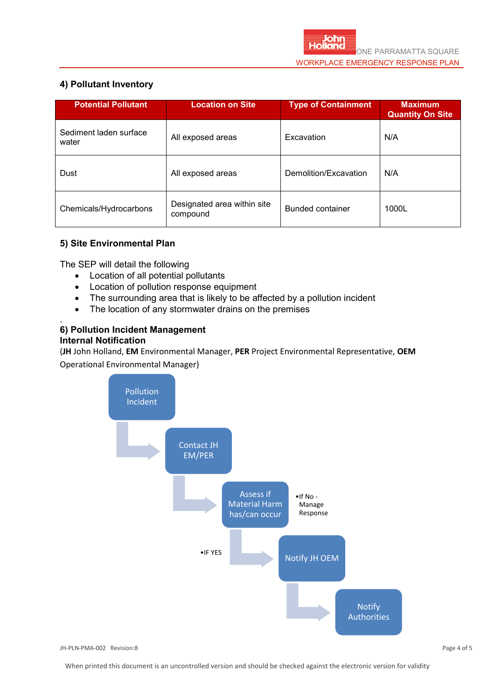# **4) Pollutant Inventory**

| <b>Potential Pollutant</b>      | <b>Location on Site</b>                 | <b>Type of Containment</b> | <b>Maximum</b><br><b>Quantity On Site</b> |
|---------------------------------|-----------------------------------------|----------------------------|-------------------------------------------|
| Sediment laden surface<br>water | All exposed areas                       | Excavation                 | N/A                                       |
| Dust                            | All exposed areas                       | Demolition/Excavation      | N/A                                       |
| Chemicals/Hydrocarbons          | Designated area within site<br>compound | Bunded container           | 1000L                                     |

# **5) Site Environmental Plan**

The SEP will detail the following

- Location of all potential pollutants
- Location of pollution response equipment
- The surrounding area that is likely to be affected by a pollution incident
- The location of any stormwater drains on the premises

#### . **6) Pollution Incident Management Internal Notification**

(**JH** John Holland, **EM** Environmental Manager, **PER** Project Environmental Representative, **OEM**  Operational Environmental Manager)